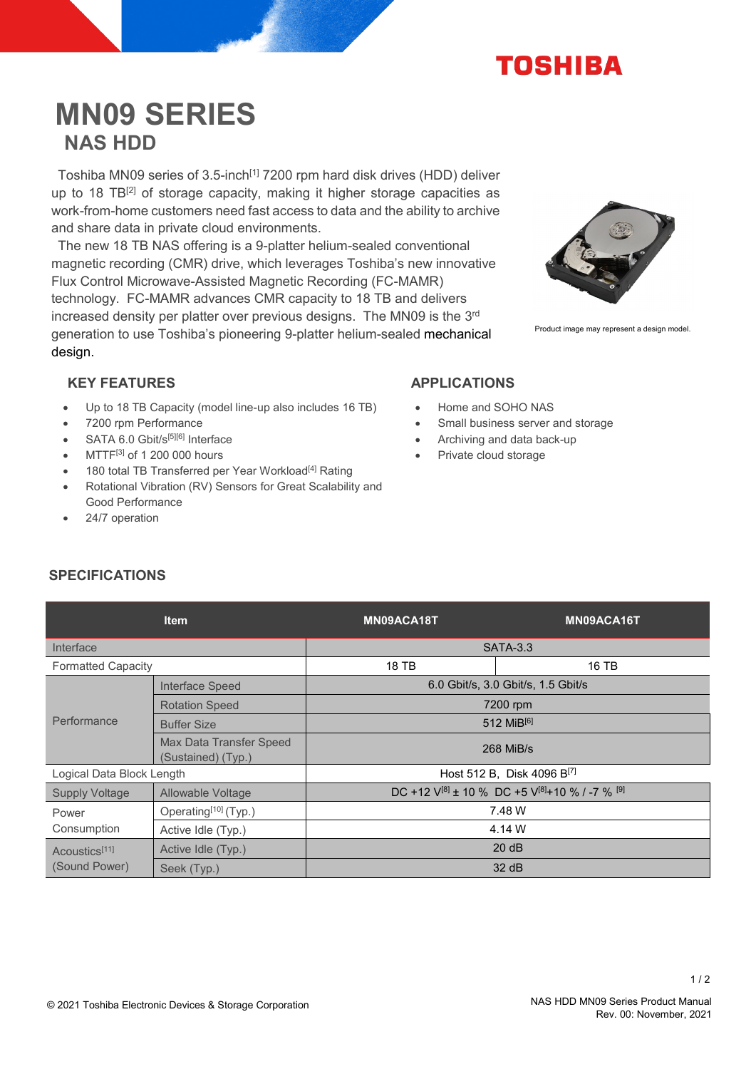

# **MN09 SERIES NAS HDD**

Toshiba MN09 series of 3.5-inch<sup>[1]</sup> 7200 rpm hard disk drives (HDD) deliver up to 18 TB<sup>[2]</sup> of storage capacity, making it higher storage capacities as work-from-home customers need fast access to data and the ability to archive and share data in private cloud environments.

The new 18 TB NAS offering is a 9-platter helium-sealed conventional magnetic recording (CMR) drive, which leverages Toshiba's new innovative Flux Control Microwave-Assisted Magnetic Recording (FC-MAMR) technology. FC-MAMR advances CMR capacity to 18 TB and delivers increased density per platter over previous designs. The MN09 is the 3<sup>rd</sup> generation to use Toshiba's pioneering 9-platter helium-sealed mechanical design.



Product image may represent a design model.

# KEY FEATURES APPLICATIONS

- Up to 18 TB Capacity (model line-up also includes 16 TB)
- 7200 rpm Performance
- SATA 6.0 Gbit/s[5][6] Interface
- MTTF[3] of 1 200 000 hours
- 180 total TB Transferred per Year Workload<sup>[4]</sup> Rating
- Rotational Vibration (RV) Sensors for Great Scalability and Good Performance
- 24/7 operation

- Home and SOHO NAS
- Small business server and storage
- Archiving and data back-up
- Private cloud storage

# **SPECIFICATIONS**

|                                            | <b>Item</b>                                   | MN09ACA18T                             | MN09ACA16T                                                          |
|--------------------------------------------|-----------------------------------------------|----------------------------------------|---------------------------------------------------------------------|
| Interface                                  |                                               | <b>SATA-3.3</b>                        |                                                                     |
| <b>Formatted Capacity</b>                  |                                               | 18 TB                                  | 16 TB                                                               |
| Performance                                | Interface Speed                               | 6.0 Gbit/s, 3.0 Gbit/s, 1.5 Gbit/s     |                                                                     |
|                                            | <b>Rotation Speed</b>                         | 7200 rpm                               |                                                                     |
|                                            | <b>Buffer Size</b>                            | 512 MiB[6]                             |                                                                     |
|                                            | Max Data Transfer Speed<br>(Sustained) (Typ.) | 268 MiB/s                              |                                                                     |
| Logical Data Block Length                  |                                               | Host 512 B, Disk 4096 B <sup>[7]</sup> |                                                                     |
| <b>Supply Voltage</b>                      | Allowable Voltage                             |                                        | DC +12 $V^{[8]}$ ± 10 % DC +5 $V^{[8]}$ +10 % / -7 % <sup>[9]</sup> |
| Power<br>Consumption                       | Operating <sup>[10]</sup> (Typ.)              | 7.48 W                                 |                                                                     |
|                                            | Active Idle (Typ.)                            | 4.14 W                                 |                                                                     |
| Acoustics <sup>[11]</sup><br>(Sound Power) | Active Idle (Typ.)                            | 20 dB                                  |                                                                     |
|                                            | Seek (Typ.)                                   | 32 dB                                  |                                                                     |

 $1/2$